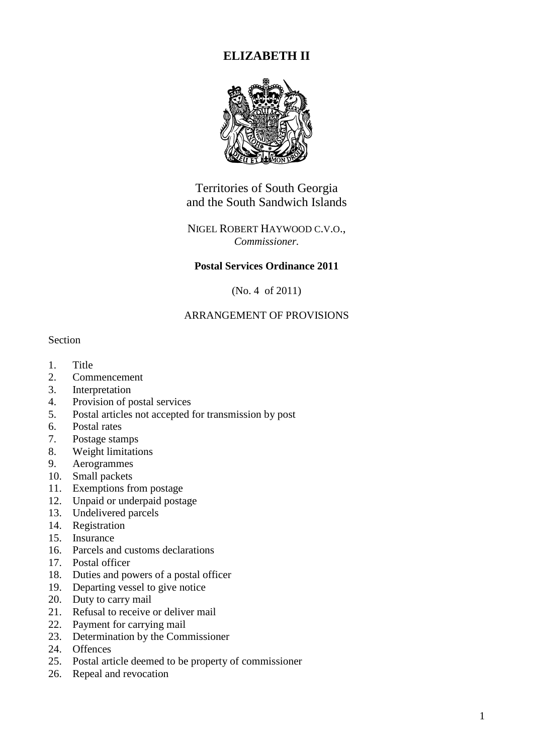# **ELIZABETH II**



Territories of South Georgia and the South Sandwich Islands

# NIGEL ROBERT HAYWOOD C.V.O., *Commissioner.*

# **Postal Services Ordinance 2011**

(No. 4 of 2011)

# ARRANGEMENT OF PROVISIONS

#### Section

- 1. Title
- 2. Commencement
- 3. Interpretation
- 4. Provision of postal services
- 5. Postal articles not accepted for transmission by post
- 6. Postal rates
- 7. Postage stamps
- 8. Weight limitations
- 9. Aerogrammes
- 10. Small packets
- 11. Exemptions from postage
- 12. Unpaid or underpaid postage
- 13. Undelivered parcels
- 14. Registration
- 15. Insurance
- 16. Parcels and customs declarations
- 17. Postal officer
- 18. Duties and powers of a postal officer
- 19. Departing vessel to give notice
- 20. Duty to carry mail
- 21. Refusal to receive or deliver mail
- 22. Payment for carrying mail
- 23. Determination by the Commissioner
- 24. Offences
- 25. Postal article deemed to be property of commissioner
- 26. Repeal and revocation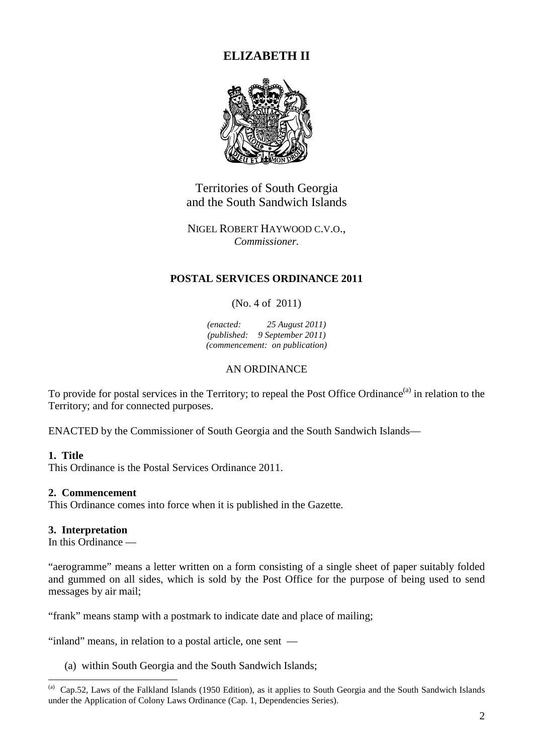# **ELIZABETH II**



Territories of South Georgia and the South Sandwich Islands

NIGEL ROBERT HAYWOOD C.V.O., *Commissioner.* 

# **POSTAL SERVICES ORDINANCE 2011**

(No. 4 of 2011)

*(enacted: 25 August 2011) (published: 9 September 2011) (commencement: on publication)* 

# AN ORDINANCE

To provide for postal services in the Territory; to repeal the Post Office Ordinance<sup>(a)</sup> in relation to the Territory; and for connected purposes.

ENACTED by the Commissioner of South Georgia and the South Sandwich Islands—

### **1. Title**

 $\overline{a}$ 

This Ordinance is the Postal Services Ordinance 2011.

### **2. Commencement**

This Ordinance comes into force when it is published in the Gazette.

### **3. Interpretation**

In this Ordinance —

"aerogramme" means a letter written on a form consisting of a single sheet of paper suitably folded and gummed on all sides, which is sold by the Post Office for the purpose of being used to send messages by air mail;

"frank" means stamp with a postmark to indicate date and place of mailing;

"inland" means, in relation to a postal article, one sent —

(a) within South Georgia and the South Sandwich Islands;

<sup>&</sup>lt;sup>(a)</sup> Cap.52, Laws of the Falkland Islands (1950 Edition), as it applies to South Georgia and the South Sandwich Islands under the Application of Colony Laws Ordinance (Cap. 1, Dependencies Series).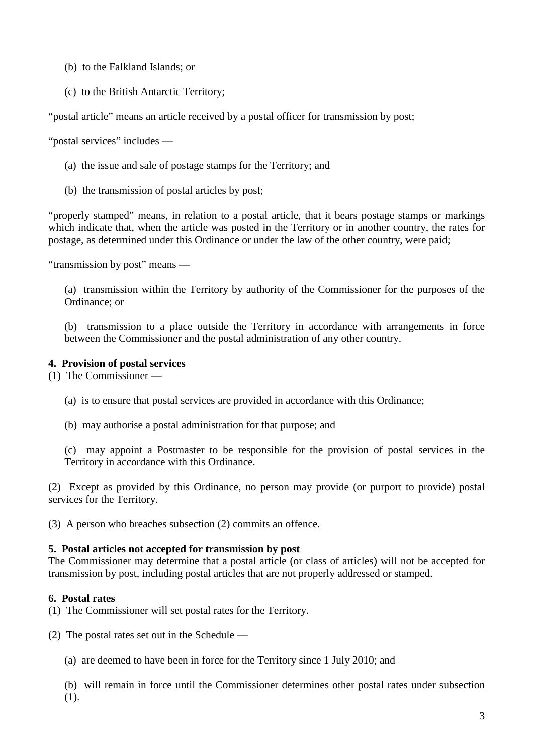- (b) to the Falkland Islands; or
- (c) to the British Antarctic Territory;

"postal article" means an article received by a postal officer for transmission by post;

"postal services" includes —

- (a) the issue and sale of postage stamps for the Territory; and
- (b) the transmission of postal articles by post;

"properly stamped" means, in relation to a postal article, that it bears postage stamps or markings which indicate that, when the article was posted in the Territory or in another country, the rates for postage, as determined under this Ordinance or under the law of the other country, were paid;

"transmission by post" means —

(a) transmission within the Territory by authority of the Commissioner for the purposes of the Ordinance; or

(b) transmission to a place outside the Territory in accordance with arrangements in force between the Commissioner and the postal administration of any other country.

# **4. Provision of postal services**

(1) The Commissioner —

- (a) is to ensure that postal services are provided in accordance with this Ordinance;
- (b) may authorise a postal administration for that purpose; and

(c) may appoint a Postmaster to be responsible for the provision of postal services in the Territory in accordance with this Ordinance.

(2) Except as provided by this Ordinance, no person may provide (or purport to provide) postal services for the Territory.

(3) A person who breaches subsection (2) commits an offence.

### **5. Postal articles not accepted for transmission by post**

The Commissioner may determine that a postal article (or class of articles) will not be accepted for transmission by post, including postal articles that are not properly addressed or stamped.

# **6. Postal rates**

(1) The Commissioner will set postal rates for the Territory.

(2) The postal rates set out in the Schedule —

(a) are deemed to have been in force for the Territory since 1 July 2010; and

(b) will remain in force until the Commissioner determines other postal rates under subsection (1).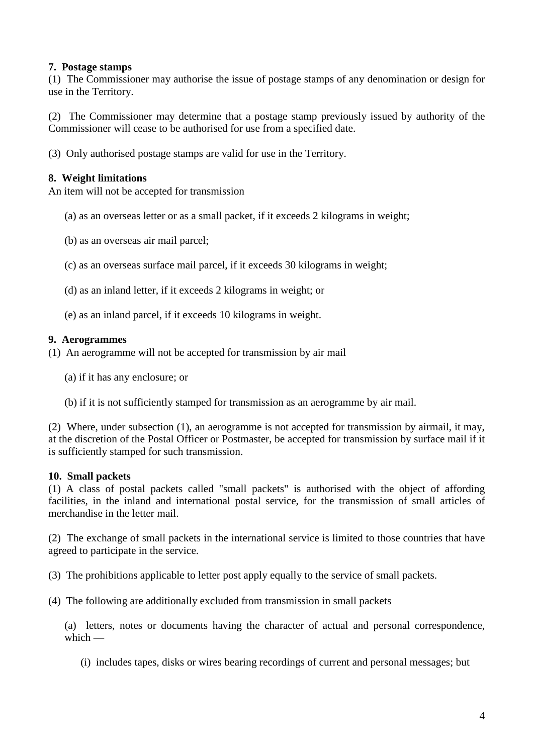# **7. Postage stamps**

(1) The Commissioner may authorise the issue of postage stamps of any denomination or design for use in the Territory.

(2) The Commissioner may determine that a postage stamp previously issued by authority of the Commissioner will cease to be authorised for use from a specified date.

(3) Only authorised postage stamps are valid for use in the Territory.

### **8. Weight limitations**

An item will not be accepted for transmission

- (a) as an overseas letter or as a small packet, if it exceeds 2 kilograms in weight;
- (b) as an overseas air mail parcel;
- (c) as an overseas surface mail parcel, if it exceeds 30 kilograms in weight;
- (d) as an inland letter, if it exceeds 2 kilograms in weight; or
- (e) as an inland parcel, if it exceeds 10 kilograms in weight.

#### **9. Aerogrammes**

- (1) An aerogramme will not be accepted for transmission by air mail
	- (a) if it has any enclosure; or
	- (b) if it is not sufficiently stamped for transmission as an aerogramme by air mail.

(2) Where, under subsection (1), an aerogramme is not accepted for transmission by airmail, it may, at the discretion of the Postal Officer or Postmaster, be accepted for transmission by surface mail if it is sufficiently stamped for such transmission.

### **10. Small packets**

(1) A class of postal packets called "small packets" is authorised with the object of affording facilities, in the inland and international postal service, for the transmission of small articles of merchandise in the letter mail.

(2) The exchange of small packets in the international service is limited to those countries that have agreed to participate in the service.

(3) The prohibitions applicable to letter post apply equally to the service of small packets.

(4) The following are additionally excluded from transmission in small packets

(a) letters, notes or documents having the character of actual and personal correspondence, which  $-$ 

(i) includes tapes, disks or wires bearing recordings of current and personal messages; but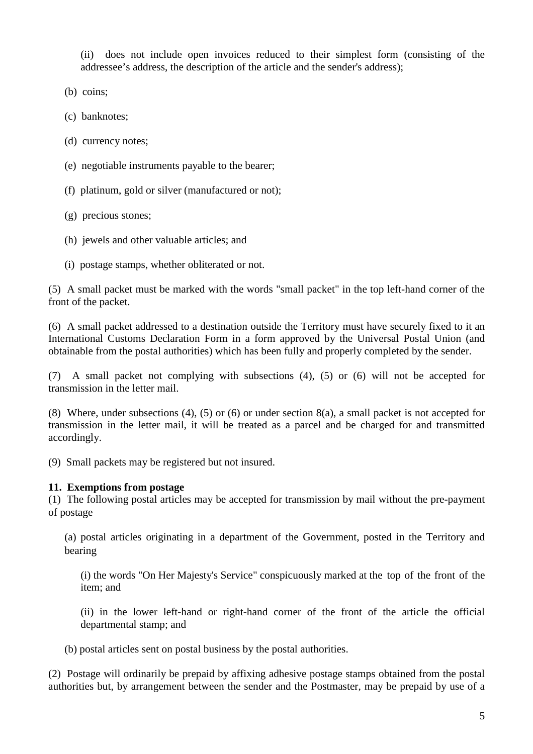(ii) does not include open invoices reduced to their simplest form (consisting of the addressee's address, the description of the article and the sender's address);

(b) coins;

(c) banknotes;

(d) currency notes;

- (e) negotiable instruments payable to the bearer;
- (f) platinum, gold or silver (manufactured or not);

(g) precious stones;

- (h) jewels and other valuable articles; and
- (i) postage stamps, whether obliterated or not.

(5) A small packet must be marked with the words "small packet" in the top left-hand corner of the front of the packet.

(6) A small packet addressed to a destination outside the Territory must have securely fixed to it an International Customs Declaration Form in a form approved by the Universal Postal Union (and obtainable from the postal authorities) which has been fully and properly completed by the sender.

(7) A small packet not complying with subsections (4), (5) or (6) will not be accepted for transmission in the letter mail.

(8) Where, under subsections (4), (5) or (6) or under section 8(a), a small packet is not accepted for transmission in the letter mail, it will be treated as a parcel and be charged for and transmitted accordingly.

(9) Small packets may be registered but not insured.

# **11. Exemptions from postage**

(1) The following postal articles may be accepted for transmission by mail without the pre-payment of postage

(a) postal articles originating in a department of the Government, posted in the Territory and bearing

(i) the words "On Her Majesty's Service" conspicuously marked at the top of the front of the item; and

(ii) in the lower left-hand or right-hand corner of the front of the article the official departmental stamp; and

(b) postal articles sent on postal business by the postal authorities.

(2) Postage will ordinarily be prepaid by affixing adhesive postage stamps obtained from the postal authorities but, by arrangement between the sender and the Postmaster, may be prepaid by use of a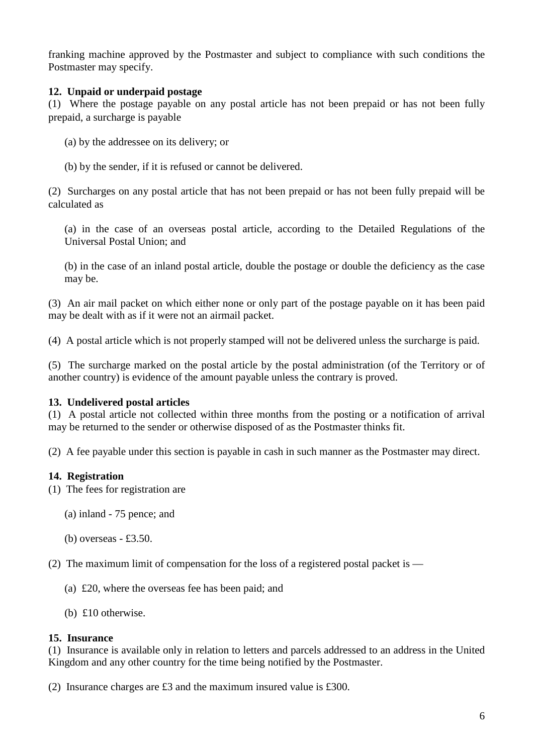franking machine approved by the Postmaster and subject to compliance with such conditions the Postmaster may specify.

# **12. Unpaid or underpaid postage**

(1) Where the postage payable on any postal article has not been prepaid or has not been fully prepaid, a surcharge is payable

- (a) by the addressee on its delivery; or
- (b) by the sender, if it is refused or cannot be delivered.

(2) Surcharges on any postal article that has not been prepaid or has not been fully prepaid will be calculated as

(a) in the case of an overseas postal article, according to the Detailed Regulations of the Universal Postal Union; and

(b) in the case of an inland postal article, double the postage or double the deficiency as the case may be.

(3) An air mail packet on which either none or only part of the postage payable on it has been paid may be dealt with as if it were not an airmail packet.

(4) A postal article which is not properly stamped will not be delivered unless the surcharge is paid.

(5) The surcharge marked on the postal article by the postal administration (of the Territory or of another country) is evidence of the amount payable unless the contrary is proved.

# **13. Undelivered postal articles**

(1) A postal article not collected within three months from the posting or a notification of arrival may be returned to the sender or otherwise disposed of as the Postmaster thinks fit.

(2) A fee payable under this section is payable in cash in such manner as the Postmaster may direct.

# **14. Registration**

- (1) The fees for registration are
	- (a) inland 75 pence; and
	- (b) overseas £3.50.

(2) The maximum limit of compensation for the loss of a registered postal packet is —

- (a) £20, where the overseas fee has been paid; and
- (b) £10 otherwise.

# **15. Insurance**

(1) Insurance is available only in relation to letters and parcels addressed to an address in the United Kingdom and any other country for the time being notified by the Postmaster.

(2) Insurance charges are £3 and the maximum insured value is £300.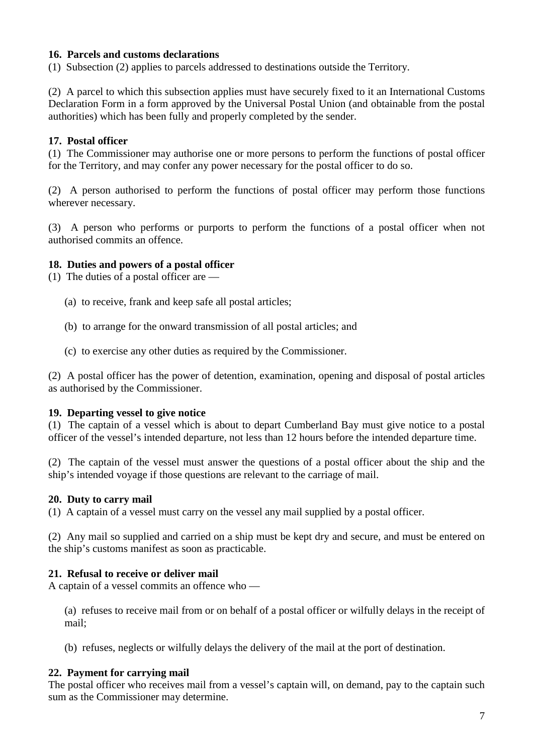# **16. Parcels and customs declarations**

(1) Subsection (2) applies to parcels addressed to destinations outside the Territory.

(2) A parcel to which this subsection applies must have securely fixed to it an International Customs Declaration Form in a form approved by the Universal Postal Union (and obtainable from the postal authorities) which has been fully and properly completed by the sender.

# **17. Postal officer**

(1) The Commissioner may authorise one or more persons to perform the functions of postal officer for the Territory, and may confer any power necessary for the postal officer to do so.

(2) A person authorised to perform the functions of postal officer may perform those functions wherever necessary.

(3) A person who performs or purports to perform the functions of a postal officer when not authorised commits an offence.

### **18. Duties and powers of a postal officer**

- (1) The duties of a postal officer are
	- (a) to receive, frank and keep safe all postal articles;
	- (b) to arrange for the onward transmission of all postal articles; and
	- (c) to exercise any other duties as required by the Commissioner.

(2) A postal officer has the power of detention, examination, opening and disposal of postal articles as authorised by the Commissioner.

### **19. Departing vessel to give notice**

(1) The captain of a vessel which is about to depart Cumberland Bay must give notice to a postal officer of the vessel's intended departure, not less than 12 hours before the intended departure time.

(2) The captain of the vessel must answer the questions of a postal officer about the ship and the ship's intended voyage if those questions are relevant to the carriage of mail.

### **20. Duty to carry mail**

(1) A captain of a vessel must carry on the vessel any mail supplied by a postal officer.

(2) Any mail so supplied and carried on a ship must be kept dry and secure, and must be entered on the ship's customs manifest as soon as practicable.

### **21. Refusal to receive or deliver mail**

A captain of a vessel commits an offence who —

(a) refuses to receive mail from or on behalf of a postal officer or wilfully delays in the receipt of mail;

(b) refuses, neglects or wilfully delays the delivery of the mail at the port of destination.

### **22. Payment for carrying mail**

The postal officer who receives mail from a vessel's captain will, on demand, pay to the captain such sum as the Commissioner may determine.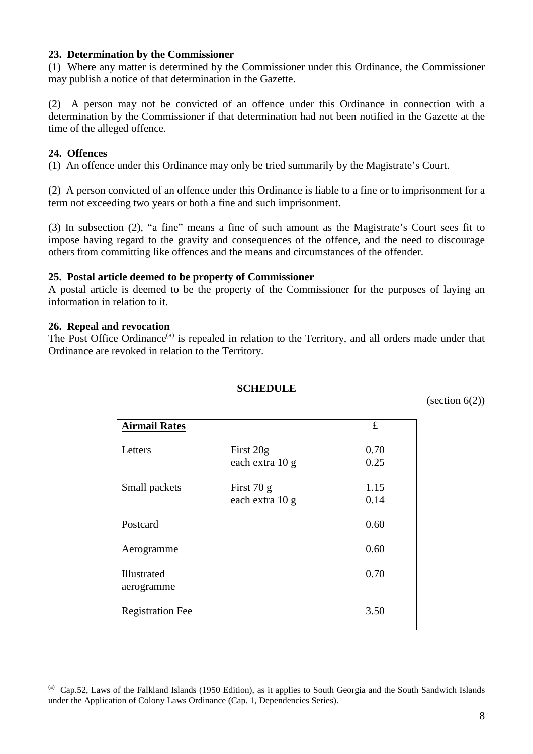### **23. Determination by the Commissioner**

(1) Where any matter is determined by the Commissioner under this Ordinance, the Commissioner may publish a notice of that determination in the Gazette.

(2) A person may not be convicted of an offence under this Ordinance in connection with a determination by the Commissioner if that determination had not been notified in the Gazette at the time of the alleged offence.

# **24. Offences**

(1) An offence under this Ordinance may only be tried summarily by the Magistrate's Court.

(2) A person convicted of an offence under this Ordinance is liable to a fine or to imprisonment for a term not exceeding two years or both a fine and such imprisonment.

(3) In subsection (2), "a fine" means a fine of such amount as the Magistrate's Court sees fit to impose having regard to the gravity and consequences of the offence, and the need to discourage others from committing like offences and the means and circumstances of the offender.

### **25. Postal article deemed to be property of Commissioner**

A postal article is deemed to be the property of the Commissioner for the purposes of laying an information in relation to it.

# **26. Repeal and revocation**

 $\overline{a}$ 

The Post Office Ordinance<sup>(a)</sup> is repealed in relation to the Territory, and all orders made under that Ordinance are revoked in relation to the Territory.

### **SCHEDULE**

(section  $6(2)$ )

| <b>Airmail Rates</b>      |                                 | $\pounds$    |
|---------------------------|---------------------------------|--------------|
| Letters                   | First 20g<br>each extra 10 g    | 0.70<br>0.25 |
| Small packets             | First $70 g$<br>each extra 10 g | 1.15<br>0.14 |
| Postcard                  |                                 | 0.60         |
| Aerogramme                |                                 | 0.60         |
| Illustrated<br>aerogramme |                                 | 0.70         |
| <b>Registration Fee</b>   |                                 | 3.50         |

<sup>&</sup>lt;sup>(a)</sup> Cap.52, Laws of the Falkland Islands (1950 Edition), as it applies to South Georgia and the South Sandwich Islands under the Application of Colony Laws Ordinance (Cap. 1, Dependencies Series).